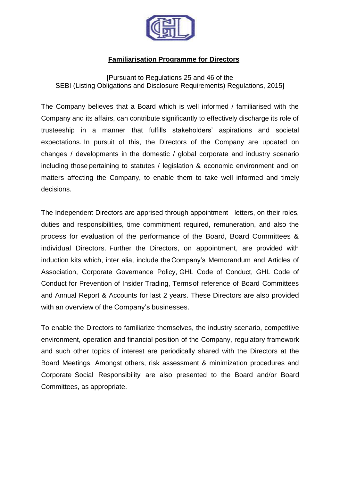

## **Familiarisation Programme for Directors**

[Pursuant to Regulations 25 and 46 of the SEBI (Listing Obligations and Disclosure Requirements) Regulations, 2015]

The Company believes that a Board which is well informed / familiarised with the Company and its affairs, can contribute significantly to effectively discharge its role of trusteeship in a manner that fulfills stakeholders' aspirations and societal expectations. In pursuit of this, the Directors of the Company are updated on changes / developments in the domestic / global corporate and industry scenario including those pertaining to statutes / legislation & economic environment and on matters affecting the Company, to enable them to take well informed and timely decisions.

The Independent Directors are apprised through appointment letters, on their roles, duties and responsibilities, time commitment required, remuneration, and also the process for evaluation of the performance of the Board, Board Committees & individual Directors. Further the Directors, on appointment, are provided with induction kits which, inter alia, include the Company's Memorandum and Articles of Association, Corporate Governance Policy, GHL Code of Conduct, GHL Code of Conduct for Prevention of Insider Trading, Termsof reference of Board Committees and Annual Report & Accounts for last 2 years. These Directors are also provided with an overview of the Company's businesses.

To enable the Directors to familiarize themselves, the industry scenario, competitive environment, operation and financial position of the Company, regulatory framework and such other topics of interest are periodically shared with the Directors at the Board Meetings. Amongst others, risk assessment & minimization procedures and Corporate Social Responsibility are also presented to the Board and/or Board Committees, as appropriate.